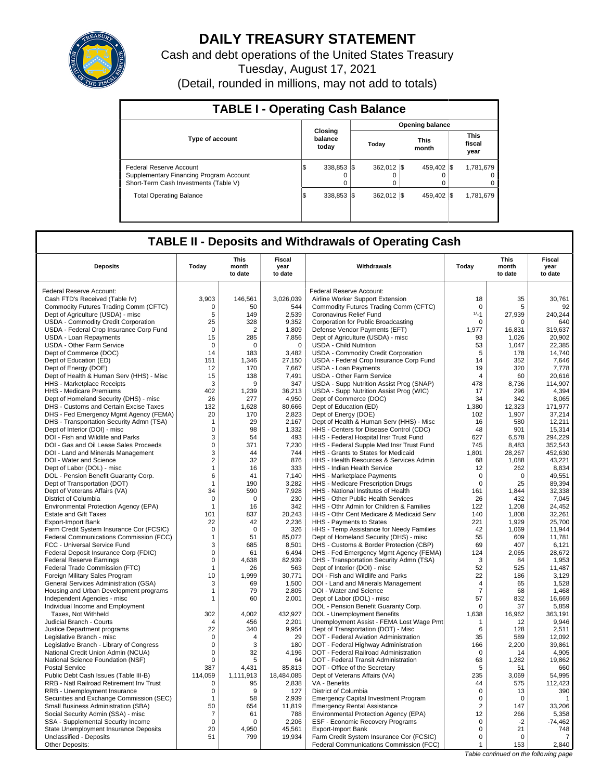

# **DAILY TREASURY STATEMENT**

Cash and debt operations of the United States Treasury Tuesday, August 17, 2021 (Detail, rounded in millions, may not add to totals)

| <b>TABLE I - Operating Cash Balance</b>                                                                     |                             |                        |                         |  |                      |  |                               |  |  |
|-------------------------------------------------------------------------------------------------------------|-----------------------------|------------------------|-------------------------|--|----------------------|--|-------------------------------|--|--|
|                                                                                                             |                             | <b>Opening balance</b> |                         |  |                      |  |                               |  |  |
| <b>Type of account</b>                                                                                      | Closing<br>balance<br>today |                        | Today                   |  | <b>This</b><br>month |  | <b>This</b><br>fiscal<br>year |  |  |
| Federal Reserve Account<br>Supplementary Financing Program Account<br>Short-Term Cash Investments (Table V) | 338,853 \$<br>15            |                        | 362.012 \\$<br>$\Omega$ |  | 459.402 \\$          |  | 1,781,679<br>$^{\circ}$<br>0  |  |  |
| <b>Total Operating Balance</b>                                                                              | 338.853 \\$<br>I\$          |                        | 362.012 \\$             |  | 459.402 \\$          |  | 1,781,679                     |  |  |

## **TABLE II - Deposits and Withdrawals of Operating Cash**

| <b>Deposits</b>                                                           | Today              | <b>This</b><br>month<br>to date | <b>Fiscal</b><br>year<br>to date | Withdrawals                                                                      | Today            | This<br>month<br>to date | Fiscal<br>year<br>to date |
|---------------------------------------------------------------------------|--------------------|---------------------------------|----------------------------------|----------------------------------------------------------------------------------|------------------|--------------------------|---------------------------|
| Federal Reserve Account:                                                  |                    |                                 |                                  | Federal Reserve Account:                                                         |                  |                          |                           |
| Cash FTD's Received (Table IV)                                            | 3.903              | 146,561                         | 3,026,039                        | Airline Worker Support Extension                                                 | 18               | 35                       | 30,761                    |
| Commodity Futures Trading Comm (CFTC)                                     | $\mathbf 0$        | 50                              | 544                              | Commodity Futures Trading Comm (CFTC)                                            | $\mathbf 0$      | 5                        | 92                        |
| Dept of Agriculture (USDA) - misc                                         | 5                  | 149                             | 2,539                            | Coronavirus Relief Fund                                                          | $1/-1$           | 27,939                   | 240,244                   |
| USDA - Commodity Credit Corporation                                       | 25                 | 328                             | 9,352                            | Corporation for Public Broadcasting                                              | 0                | 0                        | 640                       |
| USDA - Federal Crop Insurance Corp Fund                                   | $\mathbf 0$        | $\overline{2}$                  | 1,809                            | Defense Vendor Payments (EFT)                                                    | 1,977            | 16,831                   | 319,637                   |
| USDA - Loan Repayments                                                    | 15                 | 285                             | 7,856                            | Dept of Agriculture (USDA) - misc                                                | 93               | 1,026                    | 20,902                    |
| <b>USDA - Other Farm Service</b>                                          | $\mathbf 0$        | $\mathbf 0$                     | $\mathbf 0$                      | <b>USDA - Child Nutrition</b>                                                    | 53               | 1.047                    | 22.385                    |
| Dept of Commerce (DOC)                                                    | 14                 | 183                             | 3,482                            | USDA - Commodity Credit Corporation                                              | 5                | 178                      | 14,740                    |
| Dept of Education (ED)                                                    | 151                | 1,346                           | 27,150                           | USDA - Federal Crop Insurance Corp Fund                                          | 14               | 352                      | 7,646                     |
| Dept of Energy (DOE)                                                      | 12                 | 170                             | 7,667                            | <b>USDA - Loan Payments</b>                                                      | 19               | 320                      | 7,778                     |
| Dept of Health & Human Serv (HHS) - Misc                                  | 15                 | 138                             | 7,491                            | USDA - Other Farm Service                                                        | $\overline{4}$   | 60                       | 20,616                    |
| HHS - Marketplace Receipts                                                | 3                  | 9                               | 347                              | USDA - Supp Nutrition Assist Prog (SNAP)                                         | 478              | 8,736                    | 114,907                   |
| HHS - Medicare Premiums                                                   | 402                | 1,239                           | 36,213                           | USDA - Supp Nutrition Assist Prog (WIC)                                          | 17               | 296                      | 4,394                     |
| Dept of Homeland Security (DHS) - misc                                    | 26                 | 277                             | 4.950                            | Dept of Commerce (DOC)                                                           | 34               | 342                      | 8,065                     |
| DHS - Customs and Certain Excise Taxes                                    | 132                | 1,628                           | 80,666                           | Dept of Education (ED)                                                           | 1,380            | 12,323                   | 171,977                   |
| DHS - Fed Emergency Mgmt Agency (FEMA)                                    | 20                 | 170                             | 2,823                            | Dept of Energy (DOE)                                                             | 102              | 1,907                    | 37.214                    |
| DHS - Transportation Security Admn (TSA)                                  | $\mathbf{1}$       | 29                              | 2,167                            | Dept of Health & Human Serv (HHS) - Misc                                         | 16               | 580                      | 12,211                    |
| Dept of Interior (DOI) - misc                                             | $\mathbf 0$        | 98                              | 1,332                            | HHS - Centers for Disease Control (CDC)                                          | 48               | 901                      | 15,314                    |
| DOI - Fish and Wildlife and Parks                                         | 3                  | 54                              | 493                              | HHS - Federal Hospital Insr Trust Fund                                           | 627              | 6,578                    | 294,229                   |
| DOI - Gas and Oil Lease Sales Proceeds                                    | $\mathbf 0$        | 371                             | 7,230                            | HHS - Federal Supple Med Insr Trust Fund                                         | 745              | 8,483                    | 352,543                   |
| DOI - Land and Minerals Management                                        | 3                  | 44                              | 744                              | HHS - Grants to States for Medicaid                                              | 1,801            | 28,267                   | 452,630                   |
| DOI - Water and Science                                                   | $\overline{2}$     | 32                              | 876                              | HHS - Health Resources & Services Admin                                          | 68               | 1,088                    | 43,221                    |
| Dept of Labor (DOL) - misc                                                | $\mathbf{1}$       | 16                              | 333                              | HHS - Indian Health Service                                                      | 12               | 262                      | 8,834                     |
| DOL - Pension Benefit Guaranty Corp.                                      | 6                  | 41                              | 7,140                            | <b>HHS</b> - Marketplace Payments                                                | $\mathbf 0$      | $\mathbf 0$              | 49,551                    |
| Dept of Transportation (DOT)                                              | $\mathbf{1}$       | 190                             | 3,282                            | HHS - Medicare Prescription Drugs                                                | $\mathbf 0$      | 25                       | 89,394                    |
| Dept of Veterans Affairs (VA)                                             | 34                 | 590                             | 7,928                            | HHS - National Institutes of Health                                              | 161              | 1.844                    | 32.338                    |
| District of Columbia                                                      | $\mathbf 0$        | $\mathbf 0$                     | 230                              | HHS - Other Public Health Services                                               | 26               | 432                      | 7,045                     |
| Environmental Protection Agency (EPA)                                     | $\mathbf{1}$       | 16                              | 342                              | HHS - Othr Admin for Children & Families                                         | 122              | 1.208                    | 24.452                    |
| <b>Estate and Gift Taxes</b>                                              | 101                | 837                             | 20,243                           | HHS - Othr Cent Medicare & Medicaid Serv                                         | 140              | 1.808                    | 32.261                    |
| <b>Export-Import Bank</b>                                                 | 22                 | 42                              | 2,236                            | HHS - Payments to States                                                         | 221              | 1,929                    | 25,700                    |
| Farm Credit System Insurance Cor (FCSIC)                                  | $\mathbf 0$        | $\Omega$                        | 326                              | HHS - Temp Assistance for Needy Families                                         | 42               | 1.069                    | 11.944                    |
| Federal Communications Commission (FCC)                                   | $\mathbf{1}$       | 51                              | 85,072                           | Dept of Homeland Security (DHS) - misc                                           | 55               | 609                      | 11,781                    |
| FCC - Universal Service Fund                                              | 3                  | 685                             | 8.501                            | DHS - Customs & Border Protection (CBP)                                          | 69               | 407                      | 6.121                     |
| Federal Deposit Insurance Corp (FDIC)                                     | $\mathsf 0$        | 61                              | 6,494                            | DHS - Fed Emergency Mgmt Agency (FEMA)                                           | 124              | 2,065                    | 28,672                    |
| <b>Federal Reserve Earnings</b>                                           | $\mathbf 0$        | 4.638                           | 82,939                           | DHS - Transportation Security Admn (TSA)                                         | 3                | 84                       | 1,953                     |
| Federal Trade Commission (FTC)                                            | $\mathbf{1}$       | 26                              | 563                              | Dept of Interior (DOI) - misc                                                    | 52               | 525                      | 11,487                    |
| Foreign Military Sales Program                                            | 10                 | 1,999                           | 30,771                           | DOI - Fish and Wildlife and Parks                                                | 22               | 186                      | 3,129                     |
| General Services Administration (GSA)                                     | 3                  | 69                              | 1,500                            | DOI - Land and Minerals Management                                               | $\overline{4}$   | 65                       | 1,528                     |
| Housing and Urban Development programs                                    | 1                  | 79                              | 2,805                            | DOI - Water and Science                                                          | $\overline{7}$   | 68                       | 1,468                     |
| Independent Agencies - misc                                               | $\mathbf{1}$       | 60                              | 2,001                            | Dept of Labor (DOL) - misc                                                       | 57               | 832                      | 16,669                    |
| Individual Income and Employment                                          |                    |                                 |                                  | DOL - Pension Benefit Guaranty Corp.                                             | 0                | 37                       | 5,859                     |
| Taxes, Not Withheld                                                       | 302                | 4,002                           | 432,927                          | DOL - Unemployment Benefits                                                      | 1,638            | 16,962                   | 363,191                   |
| Judicial Branch - Courts                                                  | $\overline{4}$     | 456                             | 2.201                            | Unemployment Assist - FEMA Lost Wage Pmt                                         | $\mathbf{1}$     | 12                       | 9.946                     |
| Justice Department programs                                               | 22                 | 340                             | 9,954                            | Dept of Transportation (DOT) - Misc                                              | 6                | 128                      | 2,511                     |
| Legislative Branch - misc                                                 | $\mathbf 0$        | 4                               | 29                               | DOT - Federal Aviation Administration                                            | 35               | 589                      | 12.092                    |
| Legislative Branch - Library of Congress                                  | 0                  | 3                               | 180                              | DOT - Federal Highway Administration                                             | 166              | 2,200                    | 39,861                    |
| National Credit Union Admin (NCUA)                                        | $\mathbf 0$        | 32                              | 4,196                            | DOT - Federal Railroad Administration                                            | $\Omega$         | 14                       | 4,905                     |
| National Science Foundation (NSF)                                         | 0                  | 5                               | 64                               | DOT - Federal Transit Administration                                             | 63               | 1,282                    | 19,862                    |
| <b>Postal Service</b>                                                     | 387                | 4.431                           | 85,813                           | DOT - Office of the Secretary                                                    | 5                | 51                       | 660                       |
| Public Debt Cash Issues (Table III-B)                                     | 114,059            | 1,111,913                       | 18,484,085                       | Dept of Veterans Affairs (VA)                                                    | 235              | 3.069                    | 54.995                    |
| RRB - Natl Railroad Retirement Inv Trust                                  | $\mathbf 0$        | 95                              | 2,838                            | VA - Benefits                                                                    | 44<br>$\Omega$   | 575                      | 112,423                   |
| RRB - Unemployment Insurance                                              | $\mathbf 0$        | 9                               | 127                              | District of Columbia                                                             |                  | 13                       | 390                       |
| Securities and Exchange Commission (SEC)                                  | $\mathbf{1}$<br>50 | 58<br>654                       | 2,939<br>11,819                  | <b>Emergency Capital Investment Program</b>                                      | $\mathbf 0$<br>2 | $\mathbf 0$<br>147       | $\mathbf{1}$<br>33,206    |
| Small Business Administration (SBA)<br>Social Security Admin (SSA) - misc | $\overline{7}$     | 61                              | 788                              | <b>Emergency Rental Assistance</b>                                               | 12               | 266                      | 5,358                     |
| SSA - Supplemental Security Income                                        | $\mathbf 0$        | $\Omega$                        | 2,206                            | Environmental Protection Agency (EPA)<br><b>ESF - Economic Recovery Programs</b> | $\mathbf 0$      | $-2$                     | $-74,462$                 |
| State Unemployment Insurance Deposits                                     | 20                 | 4,950                           | 45,561                           | <b>Export-Import Bank</b>                                                        | $\mathbf 0$      | 21                       | 748                       |
| Unclassified - Deposits                                                   | 51                 | 799                             | 19,934                           | Farm Credit System Insurance Cor (FCSIC)                                         | $\mathbf 0$      | $\Omega$                 | 7                         |
| Other Deposits:                                                           |                    |                                 |                                  | Federal Communications Commission (FCC)                                          | $\mathbf{1}$     | 153                      | 2,840                     |
|                                                                           |                    |                                 |                                  |                                                                                  |                  |                          |                           |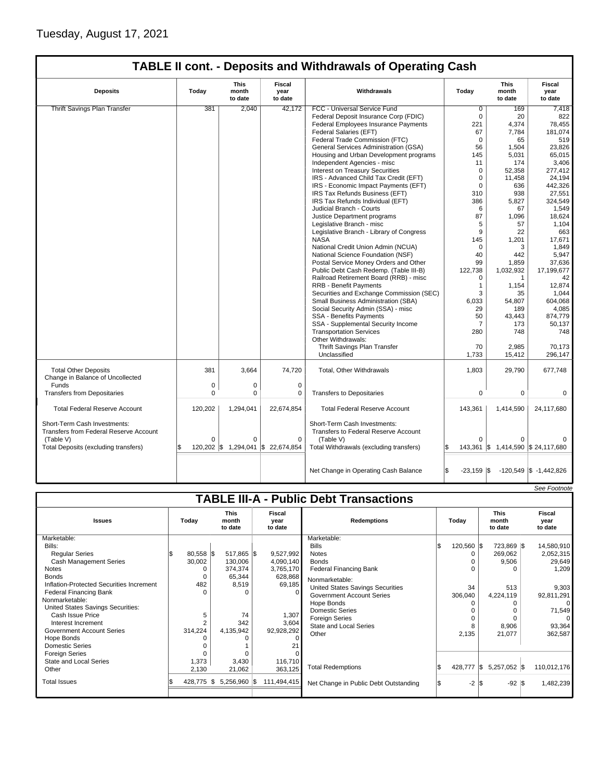|                                                                        | TABLE II cont. - Deposits and Withdrawals of Operating Cash |                                 |                           |                                                                      |                            |                                    |                            |  |  |  |
|------------------------------------------------------------------------|-------------------------------------------------------------|---------------------------------|---------------------------|----------------------------------------------------------------------|----------------------------|------------------------------------|----------------------------|--|--|--|
| <b>Deposits</b>                                                        | Todav                                                       | <b>This</b><br>month<br>to date | Fiscal<br>year<br>to date | Withdrawals                                                          | Todav                      | <b>This</b><br>month<br>to date    | Fiscal<br>vear<br>to date  |  |  |  |
| Thrift Savings Plan Transfer                                           | 381                                                         | 2,040                           | 42,172                    | FCC - Universal Service Fund                                         | $\overline{0}$             | 169                                | 7,418                      |  |  |  |
|                                                                        |                                                             |                                 |                           | Federal Deposit Insurance Corp (FDIC)                                | $\Omega$                   | 20                                 | 822                        |  |  |  |
|                                                                        |                                                             |                                 |                           | Federal Employees Insurance Payments                                 | 221                        | 4,374                              | 78,455                     |  |  |  |
|                                                                        |                                                             |                                 |                           | Federal Salaries (EFT)                                               | 67                         | 7,784                              | 181,074                    |  |  |  |
|                                                                        |                                                             |                                 |                           | Federal Trade Commission (FTC)                                       | $\Omega$                   | 65                                 | 519                        |  |  |  |
|                                                                        |                                                             |                                 |                           | General Services Administration (GSA)                                | 56                         | 1,504                              | 23,826                     |  |  |  |
|                                                                        |                                                             |                                 |                           | Housing and Urban Development programs                               | 145                        | 5,031                              | 65,015                     |  |  |  |
|                                                                        |                                                             |                                 |                           | Independent Agencies - misc                                          | 11                         | 174                                | 3.406                      |  |  |  |
|                                                                        |                                                             |                                 |                           | Interest on Treasury Securities                                      | $\mathbf 0$                | 52.358                             | 277.412                    |  |  |  |
|                                                                        |                                                             |                                 |                           | IRS - Advanced Child Tax Credit (EFT)                                | $\mathbf 0$                | 11,458                             | 24,194                     |  |  |  |
|                                                                        |                                                             |                                 |                           | IRS - Economic Impact Payments (EFT)                                 | $\Omega$                   | 636                                | 442,326                    |  |  |  |
|                                                                        |                                                             |                                 |                           | IRS Tax Refunds Business (EFT)                                       | 310                        | 938                                | 27,551                     |  |  |  |
|                                                                        |                                                             |                                 |                           | IRS Tax Refunds Individual (EFT)                                     | 386                        | 5,827                              | 324,549                    |  |  |  |
|                                                                        |                                                             |                                 |                           | Judicial Branch - Courts                                             | 6                          | 67                                 | 1,549                      |  |  |  |
|                                                                        |                                                             |                                 |                           | Justice Department programs                                          | 87                         | 1,096                              | 18,624                     |  |  |  |
|                                                                        |                                                             |                                 |                           | Legislative Branch - misc                                            | 5                          | 57                                 | 1,104                      |  |  |  |
|                                                                        |                                                             |                                 |                           | Legislative Branch - Library of Congress                             | 9                          | 22                                 | 663                        |  |  |  |
|                                                                        |                                                             |                                 |                           | <b>NASA</b>                                                          | 145                        | 1,201                              | 17,671                     |  |  |  |
|                                                                        |                                                             |                                 |                           | National Credit Union Admin (NCUA)                                   | $\Omega$                   | 3                                  | 1,849                      |  |  |  |
|                                                                        |                                                             |                                 |                           | National Science Foundation (NSF)                                    | 40                         | 442                                | 5,947                      |  |  |  |
|                                                                        |                                                             |                                 |                           | Postal Service Money Orders and Other                                | 99                         | 1,859                              | 37.636                     |  |  |  |
|                                                                        |                                                             |                                 |                           | Public Debt Cash Redemp. (Table III-B)                               | 122,738                    | 1,032,932                          | 17,199,677                 |  |  |  |
|                                                                        |                                                             |                                 |                           | Railroad Retirement Board (RRB) - misc                               | $\Omega$                   | $\mathbf{1}$                       | 42                         |  |  |  |
|                                                                        |                                                             |                                 |                           | <b>RRB - Benefit Payments</b>                                        | $\mathbf{1}$               | 1,154                              | 12,874                     |  |  |  |
|                                                                        |                                                             |                                 |                           | Securities and Exchange Commission (SEC)                             | 3                          | 35                                 | 1,044                      |  |  |  |
|                                                                        |                                                             |                                 |                           | Small Business Administration (SBA)                                  | 6,033                      | 54,807                             | 604,068                    |  |  |  |
|                                                                        |                                                             |                                 |                           | Social Security Admin (SSA) - misc                                   | 29                         | 189                                | 4,085                      |  |  |  |
|                                                                        |                                                             |                                 |                           | SSA - Benefits Payments                                              | 50                         | 43,443                             | 874,779                    |  |  |  |
|                                                                        |                                                             |                                 |                           | SSA - Supplemental Security Income                                   | 7                          | 173                                | 50,137                     |  |  |  |
|                                                                        |                                                             |                                 |                           | <b>Transportation Services</b><br>Other Withdrawals:                 | 280                        | 748                                | 748                        |  |  |  |
|                                                                        |                                                             |                                 |                           | Thrift Savings Plan Transfer                                         | 70                         | 2,985                              | 70,173                     |  |  |  |
|                                                                        |                                                             |                                 |                           | Unclassified                                                         | 1,733                      | 15,412                             | 296,147                    |  |  |  |
|                                                                        |                                                             |                                 |                           |                                                                      |                            |                                    |                            |  |  |  |
| <b>Total Other Deposits</b><br>Change in Balance of Uncollected        | 381                                                         | 3.664                           | 74,720                    | Total, Other Withdrawals                                             | 1,803                      | 29,790                             | 677,748                    |  |  |  |
| Funds                                                                  | 0                                                           | 0                               | $\mathbf 0$               |                                                                      |                            |                                    |                            |  |  |  |
| <b>Transfers from Depositaries</b>                                     | $\Omega$                                                    | 0                               | 0                         | <b>Transfers to Depositaries</b>                                     | $\mathbf 0$                | $\mathbf 0$                        | 0                          |  |  |  |
| <b>Total Federal Reserve Account</b>                                   | 120,202                                                     | 1,294,041                       | 22,674,854                | <b>Total Federal Reserve Account</b>                                 | 143,361                    | 1,414,590                          | 24,117,680                 |  |  |  |
| Short-Term Cash Investments:<br>Transfers from Federal Reserve Account |                                                             |                                 |                           | Short-Term Cash Investments:<br>Transfers to Federal Reserve Account |                            |                                    |                            |  |  |  |
| (Table V)                                                              | $\Omega$                                                    | 0                               | $\mathbf 0$               | (Table V)                                                            | $\Omega$                   | $\Omega$                           |                            |  |  |  |
| Total Deposits (excluding transfers)                                   | 120,202                                                     | \$1,294,041                     | \$22,674,854              | Total Withdrawals (excluding transfers)                              | \$                         | 143,361 \$ 1,414,590 \$ 24,117,680 |                            |  |  |  |
|                                                                        |                                                             |                                 |                           |                                                                      |                            |                                    |                            |  |  |  |
|                                                                        |                                                             |                                 |                           | Net Change in Operating Cash Balance                                 | Ŝ.<br>$-23,159$ $\sqrt{5}$ |                                    | $-120,549$ \$ $-1,442,826$ |  |  |  |

| <b>OBB</b> LOONING<br><b>TABLE III-A - Public Debt Transactions</b> |       |             |                                 |                                                        |             |                                         |  |                                 |                           |             |
|---------------------------------------------------------------------|-------|-------------|---------------------------------|--------------------------------------------------------|-------------|-----------------------------------------|--|---------------------------------|---------------------------|-------------|
|                                                                     |       |             |                                 |                                                        |             |                                         |  |                                 |                           |             |
| <b>Issues</b>                                                       | Today |             | <b>This</b><br>month<br>to date | <b>Fiscal</b><br><b>Redemptions</b><br>year<br>to date |             | Today                                   |  | <b>This</b><br>month<br>to date | Fiscal<br>year<br>to date |             |
| Marketable:                                                         |       |             |                                 |                                                        |             | Marketable:                             |  |                                 |                           |             |
| Bills:                                                              |       |             |                                 |                                                        |             | <b>Bills</b>                            |  | 120,560 \$                      | 723,869 \$                | 14,580,910  |
| <b>Regular Series</b>                                               |       | $80,558$ \$ | 517,865 \$                      |                                                        | 9,527,992   | <b>Notes</b>                            |  | 0                               | 269,062                   | 2,052,315   |
| <b>Cash Management Series</b>                                       |       | 30,002      | 130,006                         |                                                        | 4,090,140   | <b>Bonds</b>                            |  |                                 | 9,506                     | 29,649      |
| <b>Notes</b>                                                        |       |             | 374,374                         |                                                        | 3,765,170   | <b>Federal Financing Bank</b>           |  |                                 | O                         | 1,209       |
| <b>Bonds</b>                                                        |       |             | 65,344                          |                                                        | 628,868     | Nonmarketable:                          |  |                                 |                           |             |
| Inflation-Protected Securities Increment                            |       | 482         | 8,519                           |                                                        | 69,185      | <b>United States Savings Securities</b> |  | 34                              | 513                       | 9,303       |
| Federal Financing Bank                                              |       |             | $\Omega$                        |                                                        | $\Omega$    | <b>Government Account Series</b>        |  | 306,040                         | 4,224,119                 | 92,811,291  |
| Nonmarketable:                                                      |       |             |                                 |                                                        |             | Hope Bonds                              |  |                                 |                           |             |
| United States Savings Securities:                                   |       |             |                                 |                                                        |             | <b>Domestic Series</b>                  |  |                                 |                           | 71,549      |
| Cash Issue Price                                                    |       |             | 74                              |                                                        | 1,307       | <b>Foreign Series</b>                   |  | $\Omega$                        | $\Omega$                  |             |
| Interest Increment                                                  |       |             | 342                             |                                                        | 3,604       | <b>State and Local Series</b>           |  | 8                               | 8,906                     | 93,364      |
| Government Account Series                                           |       | 314,224     | 4,135,942                       |                                                        | 92,928,292  | Other                                   |  | 2,135                           | 21,077                    | 362,587     |
| Hope Bonds                                                          |       |             |                                 |                                                        | 0           |                                         |  |                                 |                           |             |
| <b>Domestic Series</b>                                              |       |             |                                 |                                                        |             |                                         |  |                                 |                           |             |
| <b>Foreign Series</b>                                               |       |             |                                 |                                                        |             |                                         |  |                                 |                           |             |
| State and Local Series                                              |       | 1,373       | 3.430                           |                                                        | 116,710     |                                         |  |                                 |                           |             |
| Other                                                               |       | 2,130       | 21,062                          |                                                        | 363,125     | <b>Total Redemptions</b>                |  | 428,777 \$                      | 5,257,052 \$              | 110,012,176 |
| <b>Total Issues</b>                                                 |       | 428,775     | 5,256,960 \$<br>S               |                                                        | 111,494,415 | Net Change in Public Debt Outstanding   |  | $-2$ $\sqrt{3}$                 | $-92$ \$                  | 1,482,239   |

See F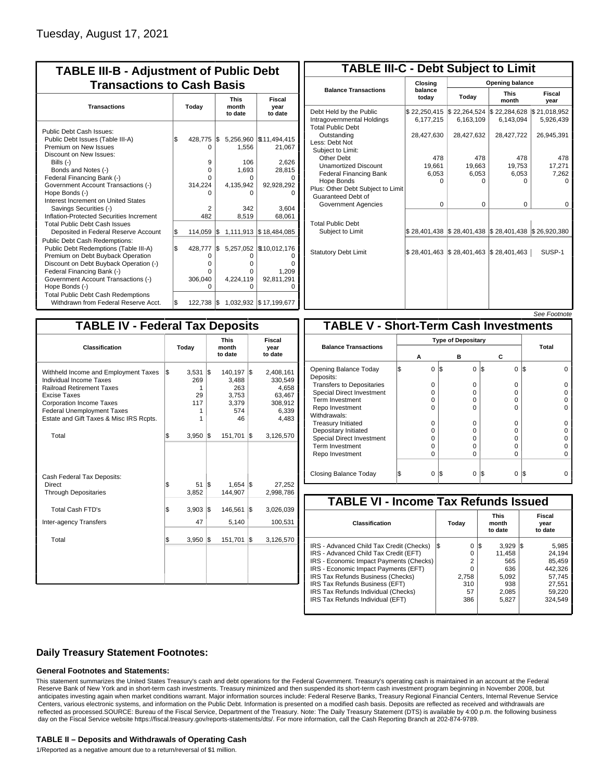| <b>TABLE III-B - Adjustment of Public Debt</b><br><b>Transactions to Cash Basis</b> |       |            |     |           |                          |  |  |                                 |                                  |
|-------------------------------------------------------------------------------------|-------|------------|-----|-----------|--------------------------|--|--|---------------------------------|----------------------------------|
| <b>Transactions</b>                                                                 | Today |            |     |           |                          |  |  | <b>This</b><br>month<br>to date | <b>Fiscal</b><br>year<br>to date |
| Public Debt Cash Issues:<br>Public Debt Issues (Table III-A)                        | \$    | 428,775    | I\$ |           | 5,256,960   \$11,494,415 |  |  |                                 |                                  |
| Premium on New Issues<br>Discount on New Issues:                                    |       | O          |     | 1,556     | 21,067                   |  |  |                                 |                                  |
| Bills (-)                                                                           |       | 9          |     | 106       | 2,626                    |  |  |                                 |                                  |
| Bonds and Notes (-)                                                                 |       | 0          |     | 1,693     | 28,815                   |  |  |                                 |                                  |
| Federal Financing Bank (-)                                                          |       | 0          |     | 0         |                          |  |  |                                 |                                  |
| Government Account Transactions (-)                                                 |       | 314,224    |     | 4,135,942 | 92,928,292               |  |  |                                 |                                  |
| Hope Bonds (-)                                                                      |       |            |     | ი         |                          |  |  |                                 |                                  |
| Interest Increment on United States                                                 |       |            |     |           |                          |  |  |                                 |                                  |
| Savings Securities (-)                                                              |       | 2          |     | 342       | 3,604                    |  |  |                                 |                                  |
| Inflation-Protected Securities Increment                                            |       | 482        |     | 8,519     | 68,061                   |  |  |                                 |                                  |
| <b>Total Public Debt Cash Issues</b><br>Deposited in Federal Reserve Account        | S.    | 114,059    | 1\$ |           | 1,111,913 \$18,484,085   |  |  |                                 |                                  |
| <b>Public Debt Cash Redemptions:</b>                                                |       |            |     |           |                          |  |  |                                 |                                  |
| Public Debt Redemptions (Table III-A)                                               | l\$   | 428,777    | \$  |           | 5,257,052   \$10,012,176 |  |  |                                 |                                  |
| Premium on Debt Buyback Operation                                                   |       | 0          |     | 0         |                          |  |  |                                 |                                  |
| Discount on Debt Buyback Operation (-)                                              |       | o          |     | o         |                          |  |  |                                 |                                  |
| Federal Financing Bank (-)                                                          |       | 0          |     | o         | 1.209                    |  |  |                                 |                                  |
| Government Account Transactions (-)                                                 |       | 306,040    |     | 4,224,119 | 92,811,291               |  |  |                                 |                                  |
| Hope Bonds (-)                                                                      |       | $\Omega$   |     | O         |                          |  |  |                                 |                                  |
| <b>Total Public Debt Cash Redemptions</b><br>Withdrawn from Federal Reserve Acct.   | l\$   | 122,738 \$ |     |           | 1,032,932 \$17,199,677   |  |  |                                 |                                  |

| <b>TABLE III-C - Debt Subject to Limit</b>                                        |                           |                                                   |                           |                           |  |  |  |  |
|-----------------------------------------------------------------------------------|---------------------------|---------------------------------------------------|---------------------------|---------------------------|--|--|--|--|
|                                                                                   | Closing                   |                                                   | Opening balance           |                           |  |  |  |  |
| <b>Balance Transactions</b>                                                       | balance<br>todav          | Today                                             | <b>This</b><br>month      | Fiscal<br>year            |  |  |  |  |
| Debt Held by the Public<br>Intragovernmental Holdings<br><b>Total Public Debt</b> | \$22,250,415<br>6,177,215 | \$22,264,524<br>6,163,109                         | \$22,284,628<br>6,143,094 | \$21,018,952<br>5,926,439 |  |  |  |  |
| Outstanding<br>Less: Debt Not<br>Subject to Limit:                                | 28,427,630                | 28,427,632                                        | 28,427,722                | 26,945,391                |  |  |  |  |
| Other Debt                                                                        | 478                       | 478                                               | 478                       | 478                       |  |  |  |  |
| <b>Unamortized Discount</b>                                                       | 19,661                    | 19,663                                            | 19,753                    | 17,271                    |  |  |  |  |
| <b>Federal Financing Bank</b>                                                     | 6,053                     | 6,053                                             | 6,053                     | 7,262                     |  |  |  |  |
| Hope Bonds<br>Plus: Other Debt Subject to Limit<br>Guaranteed Debt of             | $\Omega$                  | O                                                 | n                         | n                         |  |  |  |  |
| Government Agencies                                                               | $\Omega$                  | $\Omega$                                          | $\Omega$                  | 0                         |  |  |  |  |
| <b>Total Public Debt</b><br>Subject to Limit                                      | \$28,401,438              | $\frac{1}{2}$ 28,401,438 $\frac{1}{2}$ 28,401,438 |                           | \$26,920,380              |  |  |  |  |
| <b>Statutory Debt Limit</b>                                                       | \$28,401,463              | \$28,401,463                                      | \$28,401,463              | SUSP-1                    |  |  |  |  |
|                                                                                   |                           |                                                   |                           |                           |  |  |  |  |

See Footnote

| <b>TABLE IV - Federal Tax Deposits</b>                                                                                                                                                                                                 |                                      |                                                                         |                                                                             |  |  |  |  |  |
|----------------------------------------------------------------------------------------------------------------------------------------------------------------------------------------------------------------------------------------|--------------------------------------|-------------------------------------------------------------------------|-----------------------------------------------------------------------------|--|--|--|--|--|
| Classification                                                                                                                                                                                                                         | Today                                | <b>This</b><br>month<br>to date                                         | Fiscal<br>year<br>to date                                                   |  |  |  |  |  |
| Withheld Income and Employment Taxes<br>Individual Income Taxes<br><b>Railroad Retirement Taxes</b><br>Excise Taxes<br><b>Corporation Income Taxes</b><br><b>Federal Unemployment Taxes</b><br>Estate and Gift Taxes & Misc IRS Rcpts. | \$<br>3,531<br>269<br>1<br>29<br>117 | 1\$<br>140,197<br>3,488<br>263<br>3,753<br>3,379<br>574<br>1<br>46<br>1 | l\$<br>2,408,161<br>330,549<br>4,658<br>63,467<br>308,912<br>6,339<br>4,483 |  |  |  |  |  |
| Total                                                                                                                                                                                                                                  | \$<br>3,950                          | 1\$<br>151,701                                                          | 1\$<br>3,126,570                                                            |  |  |  |  |  |
| Cash Federal Tax Deposits:<br><b>Direct</b><br><b>Through Depositaries</b>                                                                                                                                                             | \$<br>51<br>3,852                    | l\$<br>1.654<br>144,907                                                 | l\$<br>27.252<br>2,998,786                                                  |  |  |  |  |  |
| <b>Total Cash FTD's</b><br>Inter-agency Transfers                                                                                                                                                                                      | \$<br>3,903<br>47                    | 1\$<br>146,561<br>5,140                                                 | 1\$<br>3,026,039<br>100,531                                                 |  |  |  |  |  |
| Total                                                                                                                                                                                                                                  | $3,950$ $\sqrt{5}$<br>\$             | 151,701                                                                 | 1\$<br>3,126,570                                                            |  |  |  |  |  |
|                                                                                                                                                                                                                                        |                                      |                                                                         |                                                                             |  |  |  |  |  |

|                                              |  |                           |     |          |                 |              | <i>oee roomole</i> |  |  |
|----------------------------------------------|--|---------------------------|-----|----------|-----------------|--------------|--------------------|--|--|
| <b>TABLE V - Short-Term Cash Investments</b> |  |                           |     |          |                 |              |                    |  |  |
|                                              |  | <b>Type of Depositary</b> |     |          |                 |              |                    |  |  |
| <b>Balance Transactions</b>                  |  |                           |     |          |                 | <b>Total</b> |                    |  |  |
|                                              |  | A                         |     | в        | С               |              |                    |  |  |
| Opening Balance Today<br>Deposits:           |  | $\Omega$                  | 1\$ | 0        | l\$<br>$\Omega$ | IS           |                    |  |  |
| <b>Transfers to Depositaries</b>             |  | 0                         |     | $\Omega$ | $\Omega$        |              |                    |  |  |
| Special Direct Investment                    |  | O                         |     | $\Omega$ | 0               |              |                    |  |  |
| Term Investment                              |  | O                         |     | 0        | 0               |              |                    |  |  |
| Repo Investment                              |  | O                         |     | $\Omega$ | 0               |              |                    |  |  |
| Withdrawals:                                 |  |                           |     |          |                 |              |                    |  |  |
| <b>Treasury Initiated</b>                    |  | 0                         |     | $\Omega$ | 0               |              |                    |  |  |
| Depositary Initiated                         |  | O                         |     | $\Omega$ | 0               |              |                    |  |  |
| <b>Special Direct Investment</b>             |  | O                         |     | 0        | 0               |              |                    |  |  |
| <b>Term Investment</b>                       |  | O                         |     | $\Omega$ | 0               |              |                    |  |  |
| Repo Investment                              |  | 0                         |     | $\Omega$ | 0               |              |                    |  |  |
|                                              |  |                           |     |          |                 |              |                    |  |  |
| Closing Balance Today                        |  | $\Omega$                  | l\$ | $\Omega$ | S<br>0          | IS           |                    |  |  |

| <b>TABLE VI - Income Tax Refunds Issued</b> |         |                                 |                           |  |  |  |  |  |  |  |
|---------------------------------------------|---------|---------------------------------|---------------------------|--|--|--|--|--|--|--|
| Classification                              | Today   | <b>This</b><br>month<br>to date | Fiscal<br>year<br>to date |  |  |  |  |  |  |  |
| IRS - Advanced Child Tax Credit (Checks)    | 0<br>13 | 3,929<br>l\$                    | 5,985<br>135              |  |  |  |  |  |  |  |
| IRS - Advanced Child Tax Credit (EFT)       | 0       | 11.458                          | 24.194                    |  |  |  |  |  |  |  |
| IRS - Economic Impact Payments (Checks)     | 2       | 565                             | 85.459                    |  |  |  |  |  |  |  |
| IRS - Economic Impact Payments (EFT)        | 0       | 636                             | 442.326                   |  |  |  |  |  |  |  |
| IRS Tax Refunds Business (Checks)           | 2,758   | 5.092                           | 57.745                    |  |  |  |  |  |  |  |
| IRS Tax Refunds Business (EFT)              | 310     | 938                             | 27.551                    |  |  |  |  |  |  |  |
| IRS Tax Refunds Individual (Checks)         | 57      | 2,085                           | 59.220                    |  |  |  |  |  |  |  |
| IRS Tax Refunds Individual (EFT)            | 386     | 5,827                           | 324.549                   |  |  |  |  |  |  |  |

### **Daily Treasury Statement Footnotes:**

#### **General Footnotes and Statements:**

This statement summarizes the United States Treasury's cash and debt operations for the Federal Government. Treasury's operating cash is maintained in an account at the Federal Reserve Bank of New York and in short-term cash investments. Treasury minimized and then suspended its short-term cash investment program beginning in November 2008, but anticipates investing again when market conditions warrant. Major information sources include: Federal Reserve Banks, Treasury Regional Financial Centers, Internal Revenue Service Centers, various electronic systems, and information on the Public Debt. Information is presented on a modified cash basis. Deposits are reflected as received and withdrawals are reflected as processed.SOURCE: Bureau of the Fiscal Service, Department of the Treasury. Note: The Daily Treasury Statement (DTS) is available by 4:00 p.m. the following business day on the Fiscal Service website https://fiscal.treasury.gov/reports-statements/dts/. For more information, call the Cash Reporting Branch at 202-874-9789.

#### **TABLE II – Deposits and Withdrawals of Operating Cash**

1/Reported as a negative amount due to a return/reversal of \$1 million.